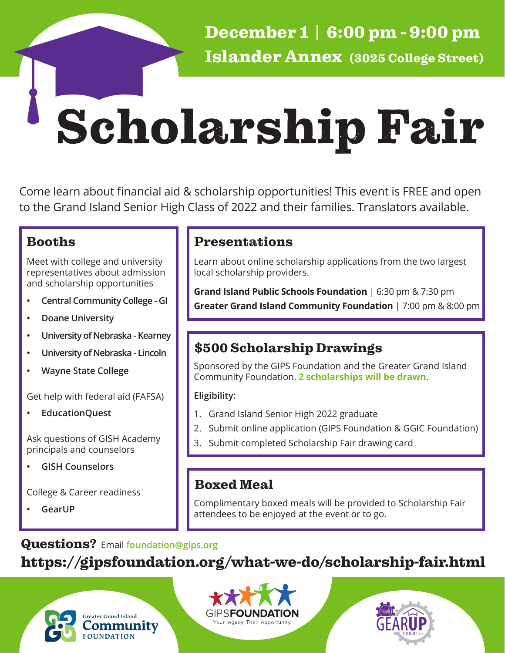December 1 | 6:00 pm - 9:00 pm Islander Annex (3025 College Street)

# Scholarship Fair

Come learn about financial aid & scholarship opportunities! This event is FREE and open to the Grand Island Senior High Class of 2022 and their families. Translators available.

Meet with college and university representatives about admission and scholarship opportunities

- **• Central Community College GI**
- **• Doane University**
- **• University of Nebraska Kearney**
- **• University of Nebraska Lincoln**
- **• Wayne State College**

Get help with federal aid (FAFSA)

**• EducationQuest**

Ask questions of GISH Academy principals and counselors

**• GISH Counselors**

College & Career readiness

**• GearUP**

### Booths **Presentations**

Learn about online scholarship applications from the two largest local scholarship providers.

**Grand Island Public Schools Foundation** | 6:30 pm & 7:30 pm **Greater Grand Island Community Foundation** | 7:00 pm & 8:00 pm

## \$500 Scholarship Drawings

Sponsored by the GIPS Foundation and the Greater Grand Island Community Foundation. **2 scholarships will be drawn**.

### **Eligibility:**

- 1. Grand Island Senior High 2022 graduate
- 2. Submit online application (GIPS Foundation & GGIC Foundation)
- 3. Submit completed Scholarship Fair drawing card

### Boxed Meal

Complimentary boxed meals will be provided to Scholarship Fair attendees to be enjoyed at the event or to go.

### Questions? Email **foundation@gips.org**

## https://gipsfoundation.org/what-we-do/scholarship-fair.html